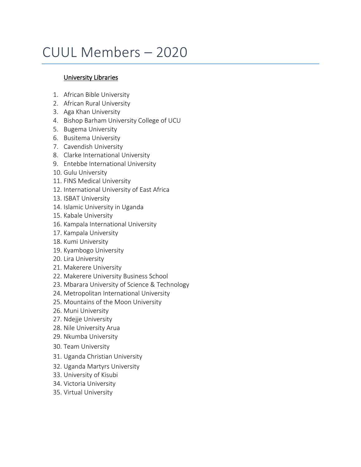## CUUL Members – 2020

## University Libraries

- 1. African Bible University
- 2. African Rural University
- 3. Aga Khan University
- 4. Bishop Barham University College of UCU
- 5. Bugema University
- 6. Busitema University
- 7. Cavendish University
- 8. Clarke International University
- 9. Entebbe International University
- 10. Gulu University
- 11. FINS Medical University
- 12. International University of East Africa
- 13. ISBAT University
- 14. Islamic University in Uganda
- 15. Kabale University
- 16. Kampala International University
- 17. Kampala University
- 18. Kumi University
- 19. Kyambogo University
- 20. Lira University
- 21. Makerere University
- 22. Makerere University Business School
- 23. Mbarara University of Science & Technology
- 24. Metropolitan International University
- 25. Mountains of the Moon University
- 26. Muni University
- 27. Ndejje University
- 28. Nile University Arua
- 29. Nkumba University
- 30. Team University
- 31. Uganda Christian University
- 32. Uganda Martyrs University
- 33. University of Kisubi
- 34. Victoria University
- 35. Virtual University